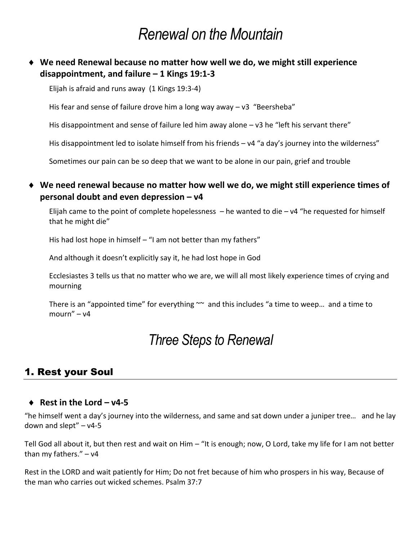# *Renewal on the Mountain*

## **We need Renewal because no matter how well we do, we might still experience disappointment, and failure – 1 Kings 19:1-3**

Elijah is afraid and runs away (1 Kings 19:3-4)

His fear and sense of failure drove him a long way away  $- v3$  "Beersheba"

His disappointment and sense of failure led him away alone – v3 he "left his servant there"

His disappointment led to isolate himself from his friends – v4 "a day's journey into the wilderness"

Sometimes our pain can be so deep that we want to be alone in our pain, grief and trouble

#### **We need renewal because no matter how well we do, we might still experience times of personal doubt and even depression – v4**

Elijah came to the point of complete hopelessness  $-$  he wanted to die  $- v4$  "he requested for himself that he might die"

His had lost hope in himself – "I am not better than my fathers"

And although it doesn't explicitly say it, he had lost hope in God

Ecclesiastes 3 tells us that no matter who we are, we will all most likely experience times of crying and mourning

There is an "appointed time" for everything  $\sim$  and this includes "a time to weep... and a time to mourn" – v4

# *Three Steps to Renewal*

# 1. Rest your Soul

#### **Rest in the Lord – v4-5**

"he himself went a day's journey into the wilderness, and same and sat down under a juniper tree… and he lay down and slept" $- v4-5$ 

Tell God all about it, but then rest and wait on Him – "It is enough; now, O Lord, take my life for I am not better than my fathers." – v4

Rest in the LORD and wait patiently for Him; Do not fret because of him who prospers in his way, Because of the man who carries out wicked schemes. Psalm 37:7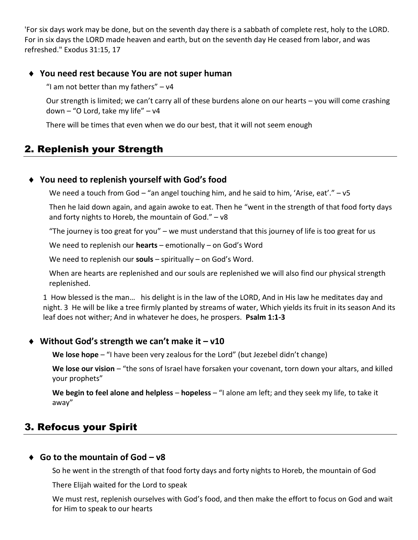'For six days work may be done, but on the seventh day there is a sabbath of complete rest, holy to the LORD. For in six days the LORD made heaven and earth, but on the seventh day He ceased from labor, and was refreshed." Exodus 31:15, 17

#### **You need rest because You are not super human**

"I am not better than my fathers"  $- v4$ 

Our strength is limited; we can't carry all of these burdens alone on our hearts – you will come crashing down – "O Lord, take my life" – v4

There will be times that even when we do our best, that it will not seem enough

# 2. Replenish your Strength

#### **You need to replenish yourself with God's food**

We need a touch from God  $-$  "an angel touching him, and he said to him, 'Arise, eat'."  $-$  v5

Then he laid down again, and again awoke to eat. Then he "went in the strength of that food forty days and forty nights to Horeb, the mountain of God." – v8

"The journey is too great for you" – we must understand that this journey of life is too great for us

We need to replenish our **hearts** – emotionally – on God's Word

We need to replenish our **souls** – spiritually – on God's Word.

When are hearts are replenished and our souls are replenished we will also find our physical strength replenished.

1 How blessed is the man… his delight is in the law of the LORD, And in His law he meditates day and night. 3 He will be like a tree firmly planted by streams of water, Which yields its fruit in its season And its leaf does not wither; And in whatever he does, he prospers. **Psalm 1:1-3**

#### **Without God's strength we can't make it – v10**

**We lose hope** – "I have been very zealous for the Lord" (but Jezebel didn't change)

**We lose our vision** – "the sons of Israel have forsaken your covenant, torn down your altars, and killed your prophets"

**We begin to feel alone and helpless** – **hopeless** – "I alone am left; and they seek my life, to take it away"

# 3. Refocus your Spirit

#### **Go to the mountain of God – v8**

So he went in the strength of that food forty days and forty nights to Horeb, the mountain of God

There Elijah waited for the Lord to speak

We must rest, replenish ourselves with God's food, and then make the effort to focus on God and wait for Him to speak to our hearts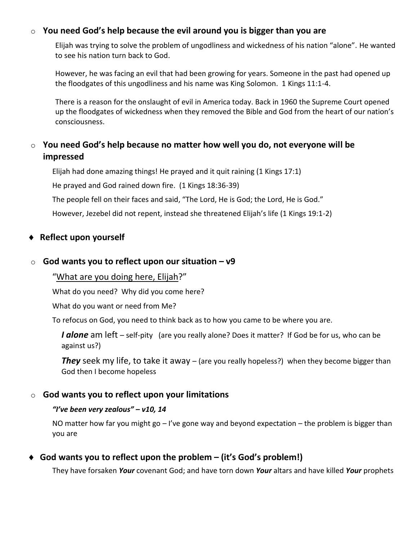### o **You need God's help because the evil around you is bigger than you are**

Elijah was trying to solve the problem of ungodliness and wickedness of his nation "alone". He wanted to see his nation turn back to God.

However, he was facing an evil that had been growing for years. Someone in the past had opened up the floodgates of this ungodliness and his name was King Solomon. 1 Kings 11:1-4.

There is a reason for the onslaught of evil in America today. Back in 1960 the Supreme Court opened up the floodgates of wickedness when they removed the Bible and God from the heart of our nation's consciousness.

## o **You need God's help because no matter how well you do, not everyone will be impressed**

Elijah had done amazing things! He prayed and it quit raining (1 Kings 17:1)

He prayed and God rained down fire. (1 Kings 18:36-39)

The people fell on their faces and said, "The Lord, He is God; the Lord, He is God."

However, Jezebel did not repent, instead she threatened Elijah's life (1 Kings 19:1-2)

#### **Reflect upon yourself**

#### o **God wants you to reflect upon our situation – v9**

"What are you doing here, Elijah?"

What do you need? Why did you come here?

What do you want or need from Me?

To refocus on God, you need to think back as to how you came to be where you are.

*I* **alone** am left – self-pity (are you really alone? Does it matter? If God be for us, who can be against us?)

**They** seek my life, to take it away – (are you really hopeless?) when they become bigger than God then I become hopeless

#### o **God wants you to reflect upon your limitations**

#### *"I've been very zealous" – v10, 14*

NO matter how far you might go – I've gone way and beyond expectation – the problem is bigger than you are

## **God wants you to reflect upon the problem – (it's God's problem!)**

They have forsaken *Your* covenant God; and have torn down *Your* altars and have killed *Your* prophets